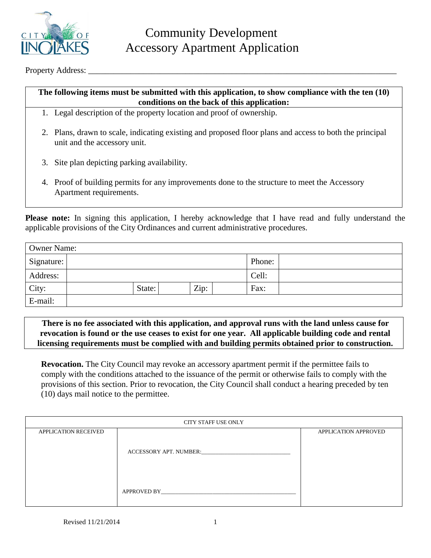

Property Address:

## **The following items must be submitted with this application, to show compliance with the ten (10) conditions on the back of this application:**

- 1. Legal description of the property location and proof of ownership.
- 2. Plans, drawn to scale, indicating existing and proposed floor plans and access to both the principal unit and the accessory unit.
- 3. Site plan depicting parking availability.
- 4. Proof of building permits for any improvements done to the structure to meet the Accessory Apartment requirements.

**Please note:** In signing this application, I hereby acknowledge that I have read and fully understand the applicable provisions of the City Ordinances and current administrative procedures.

| <b>Owner Name:</b> |        |      |        |  |  |  |
|--------------------|--------|------|--------|--|--|--|
| Signature:         |        |      | Phone: |  |  |  |
| Address:           |        |      | Cell:  |  |  |  |
| City:              | State: | Zip: | Fax:   |  |  |  |
| E-mail:            |        |      |        |  |  |  |

**There is no fee associated with this application, and approval runs with the land unless cause for revocation is found or the use ceases to exist for one year. All applicable building code and rental licensing requirements must be complied with and building permits obtained prior to construction.**

**Revocation.** The City Council may revoke an accessory apartment permit if the permittee fails to comply with the conditions attached to the issuance of the permit or otherwise fails to comply with the provisions of this section. Prior to revocation, the City Council shall conduct a hearing preceded by ten (10) days mail notice to the permittee.

| <b>CITY STAFF USE ONLY</b>  |                        |                             |  |  |  |
|-----------------------------|------------------------|-----------------------------|--|--|--|
| <b>APPLICATION RECEIVED</b> | ACCESSORY APT. NUMBER: | <b>APPLICATION APPROVED</b> |  |  |  |
|                             | APPROVED BY            |                             |  |  |  |